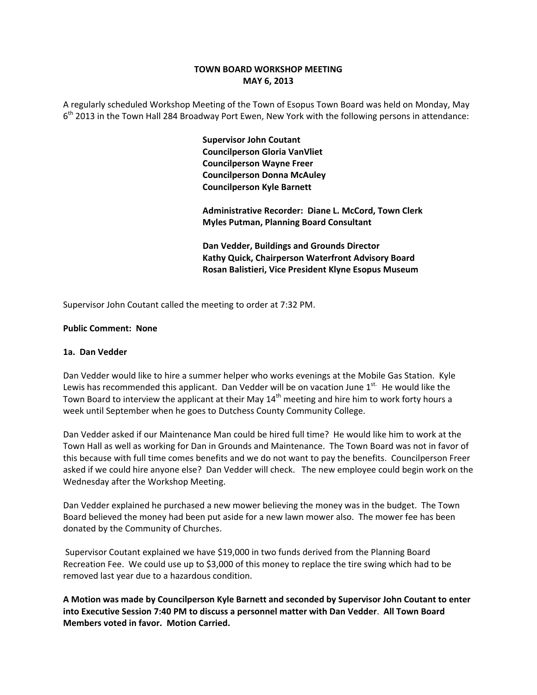## **TOWN BOARD WORKSHOP MEETING MAY 6, 2013**

A regularly scheduled Workshop Meeting of the Town of Esopus Town Board was held on Monday, May  $6<sup>th</sup>$  2013 in the Town Hall 284 Broadway Port Ewen, New York with the following persons in attendance:

> **Supervisor John Coutant Councilperson Gloria VanVliet Councilperson Wayne Freer Councilperson Donna McAuley Councilperson Kyle Barnett**

 **Administrative Recorder: Diane L. McCord, Town Clerk Myles Putman, Planning Board Consultant** 

 **Dan Vedder, Buildings and Grounds Director Kathy Quick, Chairperson Waterfront Advisory Board Rosan Balistieri, Vice President Klyne Esopus Museum**

Supervisor John Coutant called the meeting to order at 7:32 PM.

### **Public Comment: None**

### **1a. Dan Vedder**

Dan Vedder would like to hire a summer helper who works evenings at the Mobile Gas Station. Kyle Lewis has recommended this applicant. Dan Vedder will be on vacation June  $1^{st.}$  He would like the Town Board to interview the applicant at their May  $14<sup>th</sup>$  meeting and hire him to work forty hours a week until September when he goes to Dutchess County Community College.

Dan Vedder asked if our Maintenance Man could be hired full time? He would like him to work at the Town Hall as well as working for Dan in Grounds and Maintenance. The Town Board was not in favor of this because with full time comes benefits and we do not want to pay the benefits. Councilperson Freer asked if we could hire anyone else? Dan Vedder will check. The new employee could begin work on the Wednesday after the Workshop Meeting.

Dan Vedder explained he purchased a new mower believing the money was in the budget. The Town Board believed the money had been put aside for a new lawn mower also. The mower fee has been donated by the Community of Churches.

Supervisor Coutant explained we have \$19,000 in two funds derived from the Planning Board Recreation Fee. We could use up to \$3,000 of this money to replace the tire swing which had to be removed last year due to a hazardous condition.

**A Motion was made by Councilperson Kyle Barnett and seconded by Supervisor John Coutant to enter into Executive Session 7:40 PM to discuss a personnel matter with Dan Vedder**. **All Town Board Members voted in favor. Motion Carried.**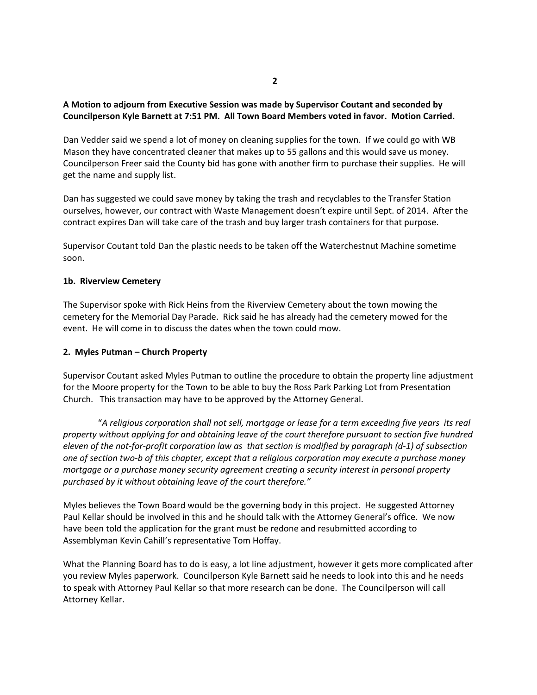# **A Motion to adjourn from Executive Session was made by Supervisor Coutant and seconded by Councilperson Kyle Barnett at 7:51 PM. All Town Board Members voted in favor. Motion Carried.**

Dan Vedder said we spend a lot of money on cleaning supplies for the town. If we could go with WB Mason they have concentrated cleaner that makes up to 55 gallons and this would save us money. Councilperson Freer said the County bid has gone with another firm to purchase their supplies. He will get the name and supply list.

Dan has suggested we could save money by taking the trash and recyclables to the Transfer Station ourselves, however, our contract with Waste Management doesn't expire until Sept. of 2014. After the contract expires Dan will take care of the trash and buy larger trash containers for that purpose.

Supervisor Coutant told Dan the plastic needs to be taken off the Waterchestnut Machine sometime soon.

### **1b. Riverview Cemetery**

The Supervisor spoke with Rick Heins from the Riverview Cemetery about the town mowing the cemetery for the Memorial Day Parade. Rick said he has already had the cemetery mowed for the event. He will come in to discuss the dates when the town could mow.

### **2. Myles Putman – Church Property**

Supervisor Coutant asked Myles Putman to outline the procedure to obtain the property line adjustment for the Moore property for the Town to be able to buy the Ross Park Parking Lot from Presentation Church. This transaction may have to be approved by the Attorney General.

"A religious corporation shall not sell, mortgage or lease for a term exceeding five years its real *property without applying for and obtaining leave of the court therefore pursuant to section five hundred* eleven of the not-for-profit corporation law as that section is modified by paragraph (d-1) of subsection one of section two-b of this chapter, except that a religious corporation may execute a purchase money *mortgage or a purchase money security agreement creating a security interest in personal property purchased by it without obtaining leave of the court therefore."*

Myles believes the Town Board would be the governing body in this project. He suggested Attorney Paul Kellar should be involved in this and he should talk with the Attorney General's office. We now have been told the application for the grant must be redone and resubmitted according to Assemblyman Kevin Cahill's representative Tom Hoffay.

What the Planning Board has to do is easy, a lot line adjustment, however it gets more complicated after you review Myles paperwork. Councilperson Kyle Barnett said he needs to look into this and he needs to speak with Attorney Paul Kellar so that more research can be done. The Councilperson will call Attorney Kellar.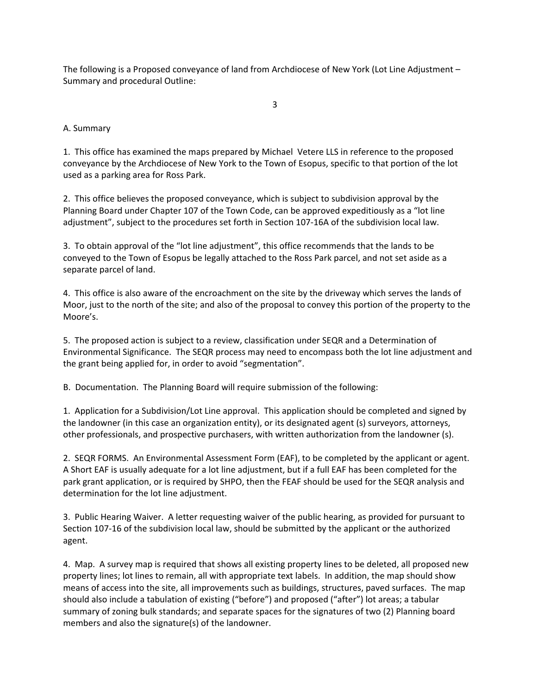The following is a Proposed conveyance of land from Archdiocese of New York (Lot Line Adjustment – Summary and procedural Outline:

3

# A. Summary

1. This office has examined the maps prepared by Michael Vetere LLS in reference to the proposed conveyance by the Archdiocese of New York to the Town of Esopus, specific to that portion of the lot used as a parking area for Ross Park.

2. This office believes the proposed conveyance, which is subject to subdivision approval by the Planning Board under Chapter 107 of the Town Code, can be approved expeditiously as a "lot line adjustment", subject to the procedures set forth in Section 107-16A of the subdivision local law.

3. To obtain approval of the "lot line adjustment", this office recommends that the lands to be conveyed to the Town of Esopus be legally attached to the Ross Park parcel, and not set aside as a separate parcel of land.

4. This office is also aware of the encroachment on the site by the driveway which serves the lands of Moor, just to the north of the site; and also of the proposal to convey this portion of the property to the Moore's.

5. The proposed action is subject to a review, classification under SEQR and a Determination of Environmental Significance. The SEQR process may need to encompass both the lot line adjustment and the grant being applied for, in order to avoid "segmentation".

B. Documentation. The Planning Board will require submission of the following:

1. Application for a Subdivision/Lot Line approval. This application should be completed and signed by the landowner (in this case an organization entity), or its designated agent (s) surveyors, attorneys, other professionals, and prospective purchasers, with written authorization from the landowner (s).

2. SEQR FORMS. An Environmental Assessment Form (EAF), to be completed by the applicant or agent. A Short EAF is usually adequate for a lot line adjustment, but if a full EAF has been completed for the park grant application, or is required by SHPO, then the FEAF should be used for the SEQR analysis and determination for the lot line adjustment.

3. Public Hearing Waiver. A letter requesting waiver of the public hearing, as provided for pursuant to Section 107‐16 of the subdivision local law, should be submitted by the applicant or the authorized agent.

4. Map. A survey map is required that shows all existing property lines to be deleted, all proposed new property lines; lot lines to remain, all with appropriate text labels. In addition, the map should show means of access into the site, all improvements such as buildings, structures, paved surfaces. The map should also include a tabulation of existing ("before") and proposed ("after") lot areas; a tabular summary of zoning bulk standards; and separate spaces for the signatures of two (2) Planning board members and also the signature(s) of the landowner.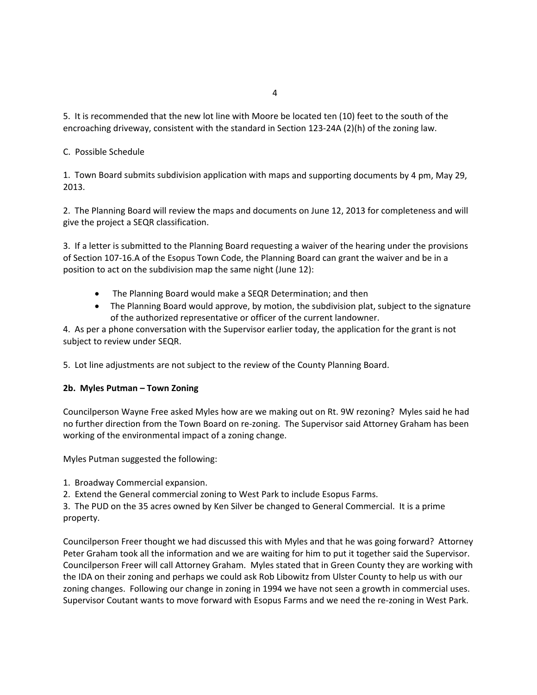5. It is recommended that the new lot line with Moore be located ten (10) feet to the south of the encroaching driveway, consistent with the standard in Section 123-24A (2)(h) of the zoning law.

# C. Possible Schedule

1. Town Board submits subdivision application with maps and supporting documents by 4 pm, May 29, 2013.

2. The Planning Board will review the maps and documents on June 12, 2013 for completeness and will give the project a SEQR classification.

3. If a letter is submitted to the Planning Board requesting a waiver of the hearing under the provisions of Section 107‐16.A of the Esopus Town Code, the Planning Board can grant the waiver and be in a position to act on the subdivision map the same night (June 12):

- The Planning Board would make a SEQR Determination; and then
- The Planning Board would approve, by motion, the subdivision plat, subject to the signature of the authorized representative or officer of the current landowner.

4. As per a phone conversation with the Supervisor earlier today, the application for the grant is not subject to review under SEQR.

5. Lot line adjustments are not subject to the review of the County Planning Board.

### **2b. Myles Putman – Town Zoning**

Councilperson Wayne Free asked Myles how are we making out on Rt. 9W rezoning? Myles said he had no further direction from the Town Board on re‐zoning. The Supervisor said Attorney Graham has been working of the environmental impact of a zoning change.

Myles Putman suggested the following:

- 1. Broadway Commercial expansion.
- 2. Extend the General commercial zoning to West Park to include Esopus Farms.

3. The PUD on the 35 acres owned by Ken Silver be changed to General Commercial. It is a prime property.

Councilperson Freer thought we had discussed this with Myles and that he was going forward? Attorney Peter Graham took all the information and we are waiting for him to put it together said the Supervisor. Councilperson Freer will call Attorney Graham. Myles stated that in Green County they are working with the IDA on their zoning and perhaps we could ask Rob Libowitz from Ulster County to help us with our zoning changes. Following our change in zoning in 1994 we have not seen a growth in commercial uses. Supervisor Coutant wants to move forward with Esopus Farms and we need the re‐zoning in West Park.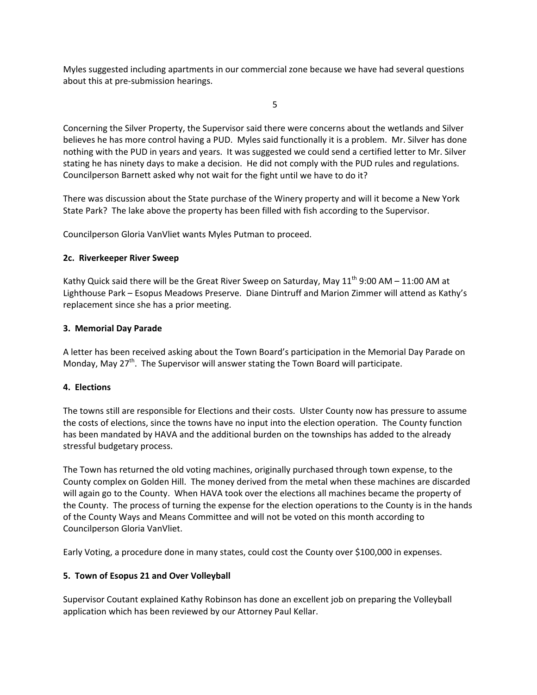Myles suggested including apartments in our commercial zone because we have had several questions about this at pre‐submission hearings.

the state of the state of the state of the state of the state of the state of the state of the state of the state of the state of the state of the state of the state of the state of the state of the state of the state of t

Concerning the Silver Property, the Supervisor said there were concerns about the wetlands and Silver believes he has more control having a PUD. Myles said functionally it is a problem. Mr. Silver has done nothing with the PUD in years and years. It was suggested we could send a certified letter to Mr. Silver stating he has ninety days to make a decision. He did not comply with the PUD rules and regulations. Councilperson Barnett asked why not wait for the fight until we have to do it?

There was discussion about the State purchase of the Winery property and will it become a New York State Park? The lake above the property has been filled with fish according to the Supervisor.

Councilperson Gloria VanVliet wants Myles Putman to proceed.

# **2c. Riverkeeper River Sweep**

Kathy Quick said there will be the Great River Sweep on Saturday, May  $11^{th}$  9:00 AM – 11:00 AM at Lighthouse Park – Esopus Meadows Preserve. Diane Dintruff and Marion Zimmer will attend as Kathy's replacement since she has a prior meeting.

# **3. Memorial Day Parade**

A letter has been received asking about the Town Board's participation in the Memorial Day Parade on Monday, May  $27<sup>th</sup>$ . The Supervisor will answer stating the Town Board will participate.

### **4. Elections**

The towns still are responsible for Elections and their costs. Ulster County now has pressure to assume the costs of elections, since the towns have no input into the election operation. The County function has been mandated by HAVA and the additional burden on the townships has added to the already stressful budgetary process.

The Town has returned the old voting machines, originally purchased through town expense, to the County complex on Golden Hill. The money derived from the metal when these machines are discarded will again go to the County. When HAVA took over the elections all machines became the property of the County. The process of turning the expense for the election operations to the County is in the hands of the County Ways and Means Committee and will not be voted on this month according to Councilperson Gloria VanVliet.

Early Voting, a procedure done in many states, could cost the County over \$100,000 in expenses.

# **5. Town of Esopus 21 and Over Volleyball**

Supervisor Coutant explained Kathy Robinson has done an excellent job on preparing the Volleyball application which has been reviewed by our Attorney Paul Kellar.